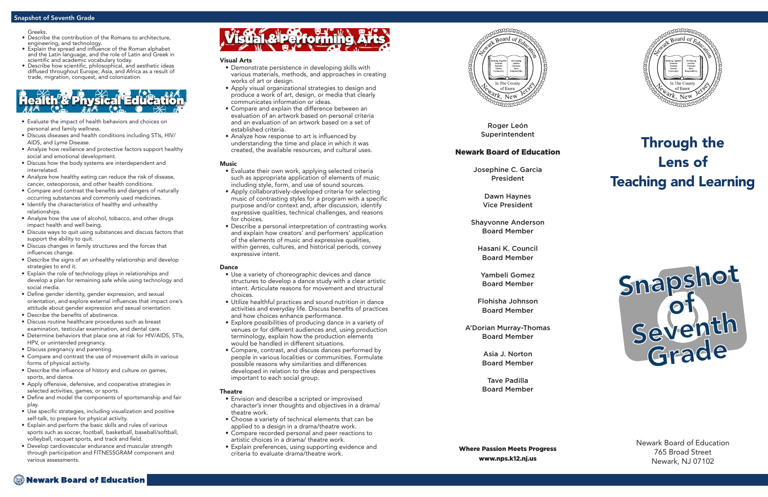Roger León Superintendent

# Newark Board of Education

Josephine C. Garcia President

> Dawn Haynes Vice President

Shayvonne Anderson Board Member

Hasani K. Council Board Member

Yambeli Gomez Board Member

Flohisha Johnson Board Member

A'Dorian Murray-Thomas Board Member

> Asia J. Norton Board Member

> Tave Padilla Board Member

Where Passion Meets Progress www.nps.k12.nj.us



# Through the Lens of Teaching and Learning

Newark Board of Education 765 Broad Street Newark, NJ 07102

### Visual Arts

- Demonstrate persistence in developing skills with various materials, methods, and approaches in creating works of art or design.
- Apply visual organizational strategies to design and produce a work of art, design, or media that clearly communicates information or ideas.
- Compare and explain the difference between an evaluation of an artwork based on personal criteria and an evaluation of an artwork based on a set of established criteria.
- Analyze how response to art is influenced by understanding the time and place in which it was created, the available resources, and cultural uses.

# **Music**

- Evaluate their own work, applying selected criteria such as appropriate application of elements of music including style, form, and use of sound sources.
- Apply collaboratively-developed criteria for selecting music of contrasting styles for a program with a specific purpose and/or context and, after discussion, identify expressive qualities, technical challenges, and reasons for choices.
- Describe a personal interpretation of contrasting works and explain how creators' and performers' application of the elements of music and expressive qualities, within genres, cultures, and historical periods, convey expressive intent.

# Dance

- Use a variety of choreographic devices and dance structures to develop a dance study with a clear artistic intent. Articulate reasons for movement and structural choices.
- Utilize healthful practices and sound nutrition in dance activities and everyday life. Discuss benefits of practices and how choices enhance performance.
- Explore possibilities of producing dance in a variety of venues or for different audiences and, using production terminology, explain how the production elements would be handled in different situations.
- Compare, contrast, and discuss dances performed by people in various localities or communities. Formulate possible reasons why similarities and differences developed in relation to the ideas and perspectives important to each social group.

# **Theatre**

- Envision and describe a scripted or improvised character's inner thoughts and objectives in a drama/ theatre work.
- Choose a variety of technical elements that can be applied to a design in a drama/theatre work.
- Compare recorded personal and peer reactions to artistic choices in a drama/ theatre work.
- Explain preferences, using supporting evidence and criteria to evaluate drama/theatre work.



# Snapshot of Seventh Grade

- Evaluate the impact of health behaviors and choices on personal and family wellness.
- Discuss diseases and health conditions including STIs, HIV/ AIDS, and Lyme Disease.
- Analyze how resilience and protective factors support healthy social and emotional development.
- Discuss how the body systems are interdependent and interrelated.
- Analyze how healthy eating can reduce the risk of disease, cancer, osteoporosis, and other health conditions.
- Compare and contrast the benefits and dangers of naturally occurring substances and commonly used medicines.
- Identify the characteristics of healthy and unhealthy relationships.
- Analyze how the use of alcohol, tobacco, and other drugs impact health and well being.
- Discuss ways to quit using substances and discuss factors that support the ability to quit.
- Discuss changes in family structures and the forces that influences change.
- Describe the signs of an unhealthy relationship and develop strategies to end it.
- Explain the role of technology plays in relationships and develop a plan for remaining safe while using technology and social media.
- Define gender identity, gender expression, and sexual orientation, and explore external influences that impact one's attitude about gender expression and sexual orientation.
- Describe the benefits of abstinence.
- Discuss routine healthcare procedures such as breast examination, testicular examination, and dental care.
- Determine behaviors that place one at risk for HIV/AIDS, STIs, HPV, or unintended pregnancy.
- Discuss pregnancy and parenting.
- Compare and contrast the use of movement skills in various forms of physical activity.
- Describe the influence of history and culture on games, sports, and dance.
- Apply offensive, defensive, and cooperative strategies in selected activities, games, or sports.
- Define and model the components of sportsmanship and fair play.
- Use specific strategies, including visualization and positive self-talk, to prepare for physical activity.
- Explain and perform the basic skills and rules of various sports such as soccer, football, basketball, baseball/softball, volleyball, racquet sports, and track and field.
- Develop cardiovascular endurance and muscular strength through participation and FITNESSGRAM component and various assessments.





#### Greeks.

- Describe the contribution of the Romans to architecture, engineering, and technology.
- Explain the spread and influence of the Roman alphabet and the Latin language, and the role of Latin and Greek in scientific and academic vocabulary today.
- Describe how scientific, philosophical, and aesthetic ideas diffused throughout Europe, Asia, and Africa as a result of trade, migration, conquest, and colonization.